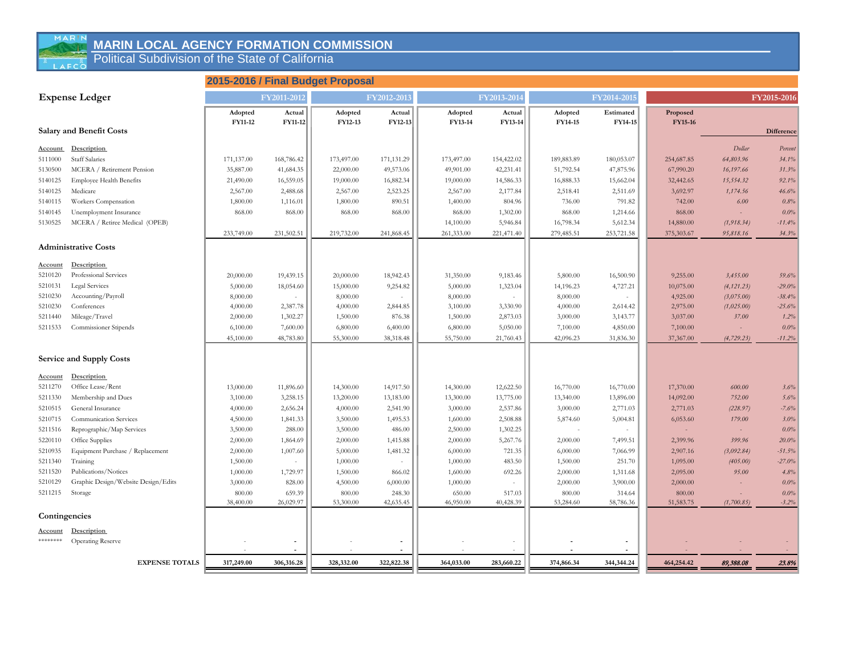#### **Marin Local Agency Formation Commission MARIN LOCAL AGENCY FORMATION COMMISSION**

**Political Subdivision of the State of California EXAMPLE Political Subdivision of the State of California** 

#### **2015-2016 / Final Budget Proposal**

| <b>Expense Ledger</b> |                                     |            | FY2011-2012                  |            | FY2012-2013 |            | FY2013-2014              |            | FY2014-2015 |            |             | FY2015-2016 |
|-----------------------|-------------------------------------|------------|------------------------------|------------|-------------|------------|--------------------------|------------|-------------|------------|-------------|-------------|
|                       |                                     | Adopted    | Actual                       | Adopted    | Actual      | Adopted    | Actual                   | Adopted    | Estimated   | Proposed   |             |             |
|                       | <b>Salary and Benefit Costs</b>     | FY11-12    | <b>FY11-12</b>               | FY12-13    | FY12-13     | FY13-14    | FY13-14                  | FY14-15    | FY14-15     | FY15-16    |             | Difference  |
|                       |                                     |            |                              |            |             |            |                          |            |             |            |             |             |
| <b>Account</b>        | Description                         |            |                              |            |             |            |                          |            |             |            | Dollar      | Percent     |
| 5111000               | <b>Staff Salaries</b>               | 171,137.00 | 168,786.42                   | 173,497.00 | 171,131.29  | 173,497.00 | 154,422.02               | 189,883.89 | 180,053.07  | 254,687.85 | 64,803.96   | 34.1%       |
| 5130500               | MCERA / Retirement Pension          | 35,887.00  | 41,684.35                    | 22,000.00  | 49,573.06   | 49,901.00  | 42,231.41                | 51,792.54  | 47,875.96   | 67,990.20  | 16,197.66   | 31.3%       |
| 5140125               | <b>Employee Health Benefits</b>     | 21,490.00  | 16,559.05                    | 19,000.00  | 16,882.34   | 19,000.00  | 14,586.33                | 16,888.33  | 15,662.04   | 32,442.65  | 15,554.32   | 92.1%       |
| 5140125               | Medicare                            | 2,567.00   | 2,488.68                     | 2,567.00   | 2,523.25    | 2,567.00   | 2,177.84                 | 2,518.41   | 2,511.69    | 3,692.97   | 1,174.56    | 46.6%       |
| 5140115               | Workers Compensation                | 1,800.00   | 1,116.01                     | 1,800.00   | 890.51      | 1,400.00   | 804.96                   | 736.00     | 791.82      | 742.00     | 6.00        | 0.8%        |
| 5140145               | Unemployment Insurance              | 868.00     | 868.00                       | 868.00     | 868.00      | 868.00     | 1,302.00                 | 868.00     | 1,214.66    | 868.00     | $\sim$      | 0.0%        |
| 5130525               | MCERA / Retiree Medical (OPEB)      |            |                              |            |             | 14,100.00  | 5,946.84                 | 16,798.34  | 5,612.34    | 14,880.00  | (1, 918.34) | $-11.4%$    |
|                       |                                     | 233,749.00 | 231,502.51                   | 219,732.00 | 241,868.45  | 261,333.00 | 221,471.40               | 279,485.51 | 253,721.58  | 375,303.67 | 95,818.16   | 34.3%       |
|                       | <b>Administrative Costs</b>         |            |                              |            |             |            |                          |            |             |            |             |             |
| <b>Account</b>        | Description                         |            |                              |            |             |            |                          |            |             |            |             |             |
| 5210120               | Professional Services               | 20,000.00  | 19,439.15                    | 20,000.00  | 18,942.43   | 31,350.00  | 9,183.46                 | 5,800.00   | 16,500.90   | 9,255.00   | 3,455.00    | 59.6%       |
| 5210131               | <b>Legal Services</b>               | 5,000.00   | 18,054.60                    | 15,000.00  | 9,254.82    | 5,000.00   | 1,323.04                 | 14,196.23  | 4,727.21    | 10,075.00  | (4, 121.23) | $-29.0%$    |
| 5210230               | Accounting/Payroll                  | 8,000.00   | $\sim$                       | 8,000.00   | $\sim$      | 8,000.00   | $\overline{\phantom{a}}$ | 8,000.00   |             | 4,925.00   | (3,075.00)  | $-38.4%$    |
| 5210230               | Conferences                         | 4,000.00   | 2,387.78                     | 4,000.00   | 2,844.85    | 3,100.00   | 3,330.90                 | 4,000.00   | 2,614.42    | 2,975.00   | (1,025.00)  | $-25.6%$    |
| 5211440               | Mileage/Travel                      | 2,000.00   | 1,302.27                     | 1,500.00   | 876.38      | 1,500.00   | 2,873.03                 | 3,000.00   | 3,143.77    | 3,037.00   | 37.00       | 1.2%        |
| 5211533               | Commissioner Stipends               | 6,100.00   | 7,600.00                     | 6,800.00   | 6,400.00    | 6,800.00   | 5,050.00                 | 7,100.00   | 4,850.00    | 7,100.00   | $\sim$      | 0.0%        |
|                       |                                     | 45,100.00  | 48,783.80                    | 55,300.00  | 38,318.48   | 55,750.00  | 21,760.43                | 42,096.23  | 31,836.30   | 37,367.00  | (4, 729.23) | $-11.2%$    |
|                       | Service and Supply Costs            |            |                              |            |             |            |                          |            |             |            |             |             |
|                       |                                     |            |                              |            |             |            |                          |            |             |            |             |             |
| <b>Account</b>        | Description                         |            |                              |            |             |            |                          |            |             |            |             |             |
| 5211270               | Office Lease/Rent                   | 13,000.00  | 11,896.60                    | 14,300.00  | 14,917.50   | 14,300.00  | 12,622.50                | 16,770.00  | 16,770.00   | 17,370.00  | 600.00      | 3.6%        |
| 5211330               | Membership and Dues                 | 3,100.00   | 3,258.15                     | 13,200.00  | 13,183.00   | 13,300.00  | 13,775.00                | 13,340.00  | 13,896.00   | 14,092.00  | 752.00      | 5.6%        |
| 5210515               | General Insurance                   | 4,000.00   | 2,656.24                     | 4,000.00   | 2,541.90    | 3,000.00   | 2,537.86                 | 3,000.00   | 2,771.03    | 2,771.03   | (228.97)    | $-7.6%$     |
| 5210715               | Communication Services              | 4,500.00   | 1,841.33                     | 3,500.00   | 1,495.53    | 1,600.00   | 2,508.88                 | 5,874.60   | 5,004.81    | 6,053.60   | 179.00      | 3.0%        |
| 5211516               | Reprographic/Map Services           | 3,500.00   | 288.00                       | 3,500.00   | 486.00      | 2,500.00   | 1,302.25                 |            |             |            | $\sim$      | $0.0\%$     |
| 5220110               | Office Supplies                     | 2,000.00   | 1,864.69                     | 2,000.00   | 1,415.88    | 2,000.00   | 5,267.76                 | 2,000.00   | 7,499.51    | 2,399.96   | 399.96      | $20.0\%$    |
| 5210935               | Equipment Purchase / Replacement    | 2,000.00   | 1,007.60                     | 5,000.00   | 1,481.32    | 6,000.00   | 721.35                   | 6,000.00   | 7,066.99    | 2,907.16   | (3,092.84)  | $-51.5%$    |
| 5211340               | Training                            | 1,500.00   | $\sim$                       | 1,000.00   | $\sim$      | 1,000.00   | 483.50                   | 1,500.00   | 251.70      | 1,095.00   | (405.00)    | $-27.0%$    |
| 5211520               | Publications/Notices                | 1,000.00   | 1,729.97                     | 1,500.00   | 866.02      | 1,600.00   | 692.26                   | 2,000.00   | 1,311.68    | 2,095.00   | 95.00       | 4.8%        |
| 5210129               | Graphic Design/Website Design/Edits | 3,000.00   | 828.00                       | 4,500.00   | 6,000.00    | 1,000.00   | $\sim$                   | 2,000.00   | 3,900.00    | 2,000.00   | $\sim$      | 0.0%        |
| 5211215               | Storage                             | 800.00     | 659.39                       | 800.00     | 248.30      | 650.00     | 517.03                   | 800.00     | 314.64      | 800.00     |             | 0.0%        |
|                       |                                     | 38,400.00  | 26,029.97                    | 53,300.00  | 42,635.45   | 46,950.00  | 40,428.39                | 53,284.60  | 58,786.36   | 51,583.75  | (1,700.85)  | $-3.2%$     |
| Contingencies         |                                     |            |                              |            |             |            |                          |            |             |            |             |             |
| <b>Account</b>        | Description                         |            |                              |            |             |            |                          |            |             |            |             |             |
| ********              | <b>Operating Reserve</b>            |            |                              |            |             |            |                          |            |             |            |             |             |
|                       | <b>EXPENSE TOTALS</b>               | 317,249.00 | $\blacksquare$<br>306,316.28 | 328,332.00 | 322,822.38  | 364,033.00 | 283,660.22               | 374,866.34 | 344,344.24  | 464,254.42 | 89,388.08   | 23.8%       |
|                       |                                     |            |                              |            |             |            |                          |            |             |            |             |             |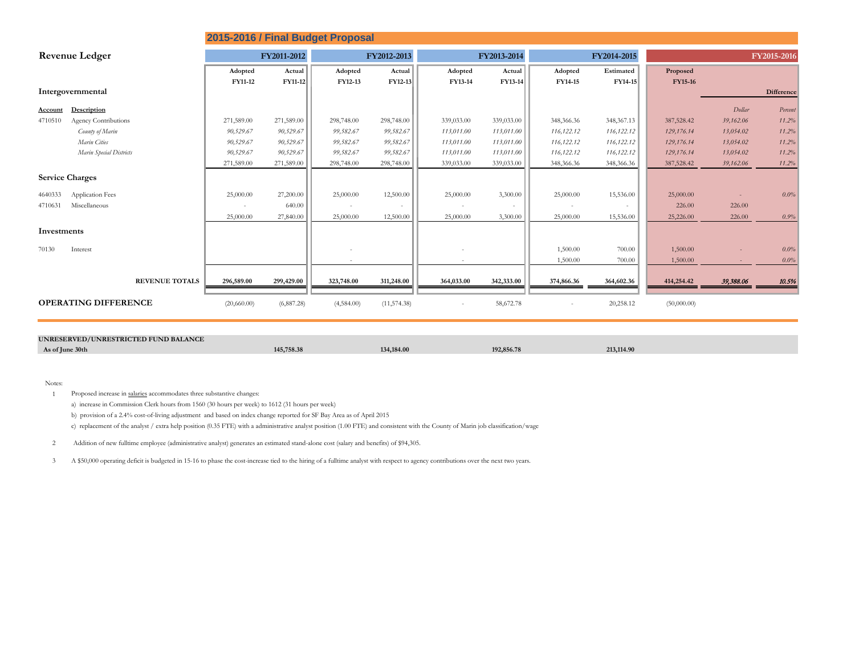| 2015-2016 / Final Budget Proposal |                         |                |                |             |              |             |            |             |              |                |           |                   |
|-----------------------------------|-------------------------|----------------|----------------|-------------|--------------|-------------|------------|-------------|--------------|----------------|-----------|-------------------|
| <b>Revenue Ledger</b>             |                         | FY2011-2012    |                | FY2012-2013 |              | FY2013-2014 |            | FY2014-2015 |              | FY2015-2016    |           |                   |
|                                   |                         | Adopted        | Actual         | Adopted     | Actual       | Adopted     | Actual     | Adopted     | Estimated    | Proposed       |           |                   |
|                                   |                         | <b>FY11-12</b> | <b>FY11-12</b> | FY12-13     | FY12-13      | FY13-14     | FY13-14    | FY14-15     | FY14-15      | <b>FY15-16</b> |           |                   |
|                                   | Intergovernmental       |                |                |             |              |             |            |             |              |                |           | <b>Difference</b> |
| <b>Account</b>                    | Description             |                |                |             |              |             |            |             |              |                | Dollar    | Percent           |
| 4710510                           | Agency Contributions    | 271,589.00     | 271,589.00     | 298,748.00  | 298,748.00   | 339,033.00  | 339,033.00 | 348,366.36  | 348, 367. 13 | 387,528.42     | 39,162.06 | 11.2%             |
|                                   | County of Marin         | 90,529.67      | 90,529.67      | 99,582.67   | 99,582.67    | 113,011.00  | 113,011.00 | 116,122.12  | 116,122.12   | 129,176.14     | 13,054.02 | 11.2%             |
|                                   | Marin Cities            | 90,529.67      | 90,529.67      | 99,582.67   | 99,582.67    | 113,011,00  | 113,011.00 | 116,122.12  | 116,122.12   | 129,176.14     | 13,054.02 | 11.2%             |
|                                   | Marin Special Districts | 90,529.67      | 90,529.67      | 99,582.67   | 99,582.67    | 113,011.00  | 113,011.00 | 116,122.12  | 116,122.12   | 129,176.14     | 13,054.02 | 11.2%             |
|                                   |                         | 271,589.00     | 271,589.00     | 298,748.00  | 298,748.00   | 339,033.00  | 339,033.00 | 348,366.36  | 348,366.36   | 387,528.42     | 39,162.06 | 11.2%             |
|                                   | <b>Service Charges</b>  |                |                |             |              |             |            |             |              |                |           |                   |
| 4640333                           | <b>Application Fees</b> | 25,000.00      | 27,200.00      | 25,000.00   | 12,500.00    | 25,000.00   | 3,300.00   | 25,000.00   | 15,536.00    | 25,000.00      |           | 0.0%              |
| 4710631                           | Miscellaneous           | $\sim$         | 640.00         |             |              |             | $\sim$     | $\sim$      |              | 226.00         | 226.00    |                   |
|                                   |                         | 25,000.00      | 27,840.00      | 25,000.00   | 12,500.00    | 25,000.00   | 3,300.00   | 25,000.00   | 15,536.00    | 25,226.00      | 226.00    | 0.9%              |
| Investments                       |                         |                |                |             |              |             |            |             |              |                |           |                   |
| 70130                             | Interest                |                |                |             |              |             |            | 1,500.00    | 700.00       | 1,500.00       |           | 0.0%              |
|                                   |                         |                |                |             |              |             |            | 1,500.00    | 700.00       | 1,500.00       |           | 0.0%              |
|                                   | <b>REVENUE TOTALS</b>   | 296,589.00     | 299,429.00     | 323,748.00  | 311,248.00   | 364,033.00  | 342,333.00 | 374,866.36  | 364,602.36   | 414,254.42     | 39,388.06 | 10.5%             |
| <b>OPERATING DIFFERENCE</b>       |                         | (20,660.00)    | (6,887.28)     | (4,584.00)  | (11, 574.38) |             | 58,672.78  |             | 20,258.12    | (50,000.00)    |           |                   |

| UNRESERVED/UNRESTRICTED FUND BALANCE |            |            |                            |            |  |  |
|--------------------------------------|------------|------------|----------------------------|------------|--|--|
| As of June 30th                      | 145,758.38 | 134,184.00 | 102.956.79<br><b>20.7c</b> | 213,114.90 |  |  |

Notes:

1 Proposed increase in salaries accommodates three substantive changes:

a) increase in Commission Clerk hours from 1560 (30 hours per week) to 1612 (31 hours per week)

b) provision of a 2.4% cost-of-living adjustment and based on index change reported for SF Bay Area as of April 2015

c) replacement of the analyst / extra help position (0.35 FTE) with a administrative analyst position (1.00 FTE) and consistent with the County of Marin job classification/wage

2 Addition of new fulltime employee (administrative analyst) generates an estimated stand-alone cost (salary and benefits) of \$94,305.

3 A \$50,000 operating deficit is budgeted in 15-16 to phase the cost-increase tied to the hiring of a fulltime analyst with respect to agency contributions over the next two years.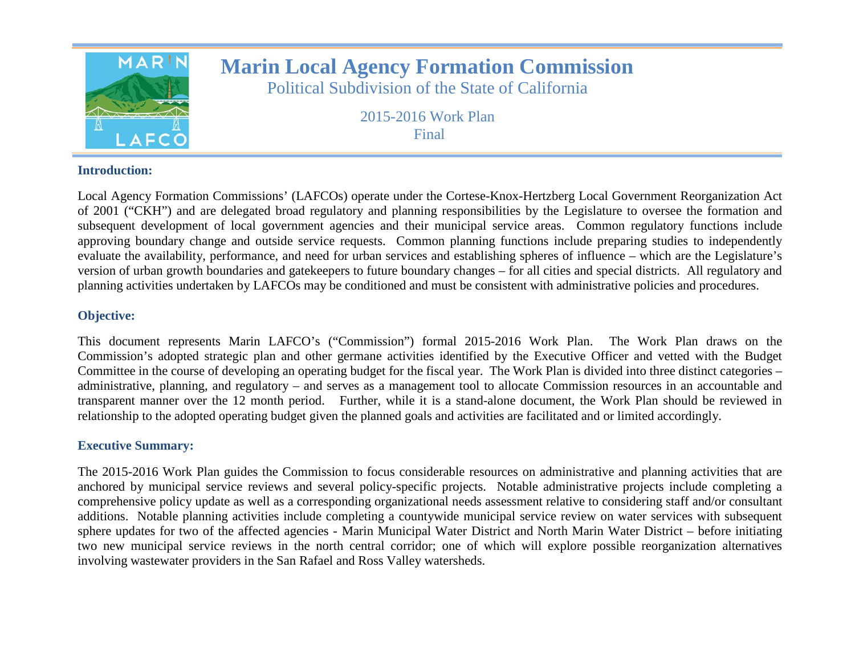

# **Marin Local Agency Formation Commission**

Political Subdivision of the State of California

2015-2016 Work Plan Final

### **Introduction:**

Local Agency Formation Commissions' (LAFCOs) operate under the Cortese-Knox-Hertzberg Local Government Reorganization Act of 2001 ("CKH") and are delegated broad regulatory and planning responsibilities by the Legislature to oversee the formation and subsequent development of local government agencies and their municipal service areas. Common regulatory functions include approving boundary change and outside service requests. Common planning functions include preparing studies to independently evaluate the availability, performance, and need for urban services and establishing spheres of influence – which are the Legislature's version of urban growth boundaries and gatekeepers to future boundary changes – for all cities and special districts. All regulatory and planning activities undertaken by LAFCOs may be conditioned and must be consistent with administrative policies and procedures.

### **Objective:**

This document represents Marin LAFCO's ("Commission") formal 2015-2016 Work Plan. The Work Plan draws on the Commission's adopted strategic plan and other germane activities identified by the Executive Officer and vetted with the Budget Committee in the course of developing an operating budget for the fiscal year. The Work Plan is divided into three distinct categories – administrative, planning, and regulatory – and serves as a management tool to allocate Commission resources in an accountable and transparent manner over the 12 month period. Further, while it is a stand-alone document, the Work Plan should be reviewed in relationship to the adopted operating budget given the planned goals and activities are facilitated and or limited accordingly.

### **Executive Summary:**

The 2015-2016 Work Plan guides the Commission to focus considerable resources on administrative and planning activities that are anchored by municipal service reviews and several policy-specific projects. Notable administrative projects include completing a comprehensive policy update as well as a corresponding organizational needs assessment relative to considering staff and/or consultant additions. Notable planning activities include completing a countywide municipal service review on water services with subsequent sphere updates for two of the affected agencies - Marin Municipal Water District and North Marin Water District – before initiating two new municipal service reviews in the north central corridor; one of which will explore possible reorganization alternatives involving wastewater providers in the San Rafael and Ross Valley watersheds.